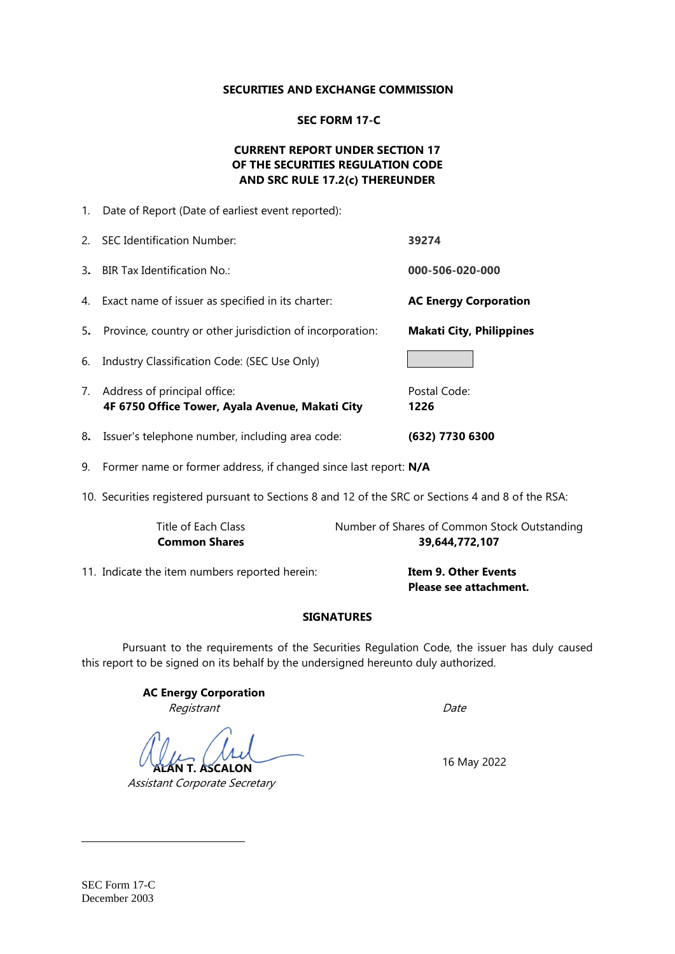#### **SECURITIES AND EXCHANGE COMMISSION**

### **SEC FORM 17-C**

## **CURRENT REPORT UNDER SECTION 17 OF THE SECURITIES REGULATION CODE AND SRC RULE 17.2(c) THEREUNDER**

|    | 1. Date of Report (Date of earliest event reported):                               |                                 |
|----|------------------------------------------------------------------------------------|---------------------------------|
| 2. | <b>SEC Identification Number:</b>                                                  | 39274                           |
|    | 3. BIR Tax Identification No.:                                                     | 000-506-020-000                 |
|    | 4. Exact name of issuer as specified in its charter:                               | <b>AC Energy Corporation</b>    |
| 5. | Province, country or other jurisdiction of incorporation:                          | <b>Makati City, Philippines</b> |
| 6. | Industry Classification Code: (SEC Use Only)                                       |                                 |
|    | 7. Address of principal office:<br>4F 6750 Office Tower, Ayala Avenue, Makati City | Postal Code:<br>1226            |
| 8. | Issuer's telephone number, including area code:                                    | (632) 7730 6300                 |

9. Former name or former address, if changed since last report: **N/A**

10. Securities registered pursuant to Sections 8 and 12 of the SRC or Sections 4 and 8 of the RSA:

| Title of Each Class  | Number of Shares of Common Stock Outstanding |
|----------------------|----------------------------------------------|
| <b>Common Shares</b> | 39,644,772,107                               |
|                      |                                              |

11. Indicate the item numbers reported herein: **Item 9. Other Events**

**Please see attachment.** 

### **SIGNATURES**

Pursuant to the requirements of the Securities Regulation Code, the issuer has duly caused this report to be signed on its behalf by the undersigned hereunto duly authorized.

> **AC Energy Corporation** Registrant Date

**T. ASCALON** 

Assistant Corporate Secretary

16 May 2022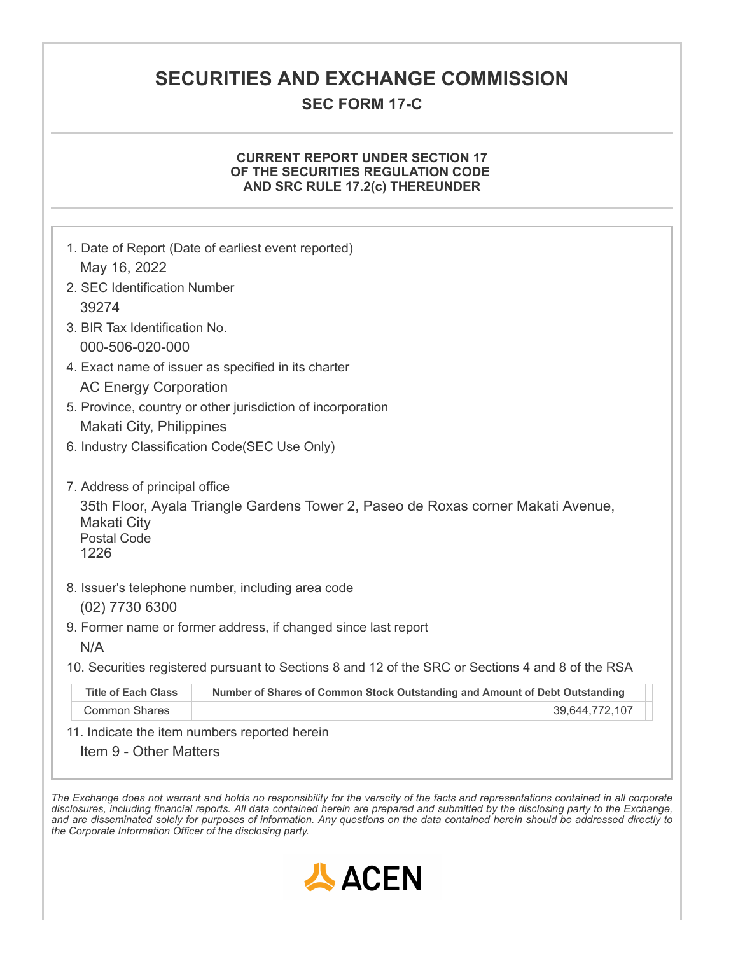## **SECURITIES AND EXCHANGE COMMISSION**

## **SEC FORM 17-C**

### **CURRENT REPORT UNDER SECTION 17 OF THE SECURITIES REGULATION CODE AND SRC RULE 17.2(c) THEREUNDER**

| May 16, 2022                                                                                                                                                           | 1. Date of Report (Date of earliest event reported)                         |  |  |  |
|------------------------------------------------------------------------------------------------------------------------------------------------------------------------|-----------------------------------------------------------------------------|--|--|--|
| 2. SEC Identification Number                                                                                                                                           |                                                                             |  |  |  |
| 39274                                                                                                                                                                  |                                                                             |  |  |  |
| 3. BIR Tax Identification No.                                                                                                                                          |                                                                             |  |  |  |
| 000-506-020-000                                                                                                                                                        |                                                                             |  |  |  |
| 4. Exact name of issuer as specified in its charter                                                                                                                    |                                                                             |  |  |  |
| <b>AC Energy Corporation</b>                                                                                                                                           |                                                                             |  |  |  |
| 5. Province, country or other jurisdiction of incorporation                                                                                                            |                                                                             |  |  |  |
| <b>Makati City, Philippines</b>                                                                                                                                        |                                                                             |  |  |  |
|                                                                                                                                                                        | 6. Industry Classification Code(SEC Use Only)                               |  |  |  |
| 7. Address of principal office<br>35th Floor, Ayala Triangle Gardens Tower 2, Paseo de Roxas corner Makati Avenue,<br><b>Makati City</b><br><b>Postal Code</b><br>1226 |                                                                             |  |  |  |
| $(02)$ 7730 6300                                                                                                                                                       | 8. Issuer's telephone number, including area code                           |  |  |  |
|                                                                                                                                                                        | 9. Former name or former address, if changed since last report              |  |  |  |
| N/A                                                                                                                                                                    |                                                                             |  |  |  |
| 10. Securities registered pursuant to Sections 8 and 12 of the SRC or Sections 4 and 8 of the RSA                                                                      |                                                                             |  |  |  |
| <b>Title of Each Class</b>                                                                                                                                             | Number of Shares of Common Stock Outstanding and Amount of Debt Outstanding |  |  |  |
| <b>Common Shares</b>                                                                                                                                                   | 39,644,772,107                                                              |  |  |  |
|                                                                                                                                                                        | 11 Indicate the item numbers reported berein                                |  |  |  |

11. Indicate the item numbers reported herein

Item 9 - Other Matters

The Exchange does not warrant and holds no responsibility for the veracity of the facts and representations contained in all corporate disclosures, including financial reports. All data contained herein are prepared and submitted by the disclosing party to the Exchange, and are disseminated solely for purposes of information. Any questions on the data contained herein should be addressed directly to *the Corporate Information Officer of the disclosing party.*